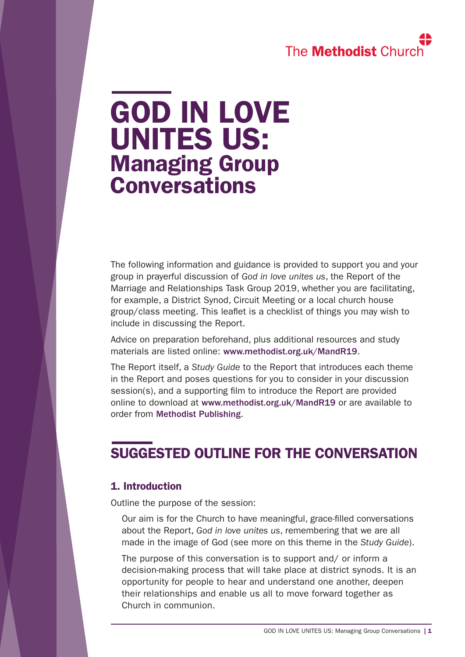# The **Methodist** Churc

# GOD IN LOVE UNITES US: Managing Group **Conversations**

The following information and guidance is provided to support you and your group in prayerful discussion of *God in love unites us*, the Report of the Marriage and Relationships Task Group 2019, whether you are facilitating, for example, a District Synod, Circuit Meeting or a local church house group/class meeting. This leaflet is a checklist of things you may wish to include in discussing the Report.

Advice on preparation beforehand, plus additional resources and study materials are listed online: [www.methodist.org.uk/MandR19](https://www.methodist.org.uk/MandR19).

The Report itself, a *Study Guide* to the Report that introduces each theme in the Report and poses questions for you to consider in your discussion session(s), and a supporting film to introduce the Report are provided online to download at [www.methodist.org.uk/MandR19](https://www.methodist.org.uk/MandR19) or are available to order from [Methodist Publishing](https://www.methodistpublishing.org.uk/).

## SUGGESTED OUTLINE FOR THE CONVERSATION

### 1. Introduction

Outline the purpose of the session:

Our aim is for the Church to have meaningful, grace-filled conversations about the Report, *God in love unites us*, remembering that we are all made in the image of God (see more on this theme in the *Study Guide*).

The purpose of this conversation is to support and/ or inform a decision-making process that will take place at district synods. It is an opportunity for people to hear and understand one another, deepen their relationships and enable us all to move forward together as Church in communion.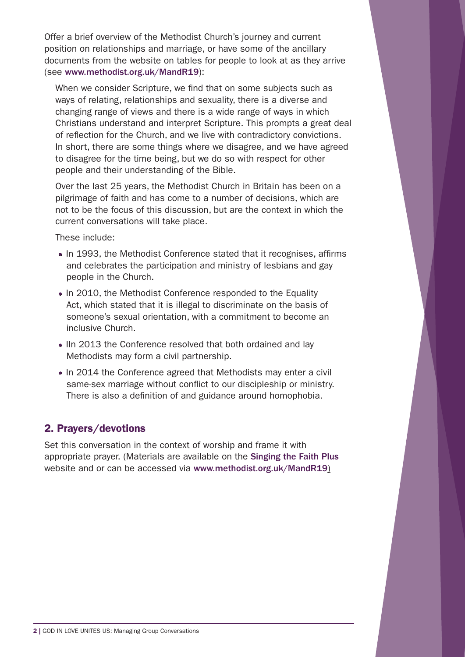Offer a brief overview of the Methodist Church's journey and current position on relationships and marriage, or have some of the ancillary documents from the website on tables for people to look at as they arrive (see [www.methodist.org.uk/MandR19](https://www.methodist.org.uk/MandR19)):

When we consider Scripture, we find that on some subjects such as ways of relating, relationships and sexuality, there is a diverse and changing range of views and there is a wide range of ways in which Christians understand and interpret Scripture. This prompts a great deal of reflection for the Church, and we live with contradictory convictions. In short, there are some things where we disagree, and we have agreed to disagree for the time being, but we do so with respect for other people and their understanding of the Bible.

Over the last 25 years, the Methodist Church in Britain has been on a pilgrimage of faith and has come to a number of decisions, which are not to be the focus of this discussion, but are the context in which the current conversations will take place.

These include:

- In 1993, the Methodist Conference stated that it recognises, affirms and celebrates the participation and ministry of lesbians and gay people in the Church.
- In 2010, the Methodist Conference responded to the Equality Act, which stated that it is illegal to discriminate on the basis of someone's sexual orientation, with a commitment to become an inclusive Church.
- IIn 2013 the Conference resolved that both ordained and lay Methodists may form a civil partnership.
- In 2014 the Conference agreed that Methodists may enter a civil same-sex marriage without conflict to our discipleship or ministry. There is also a definition of and guidance around homophobia.

### 2. Prayers/devotions

Set this conversation in the context of worship and frame it with appropriate prayer. (Materials are available on the [Singing the Faith Plus](http://singingthefaithplus.org.uk/) website and or can be accessed via [www.methodist.org.uk/MandR19](https://www.methodist.org.uk/MandR19/))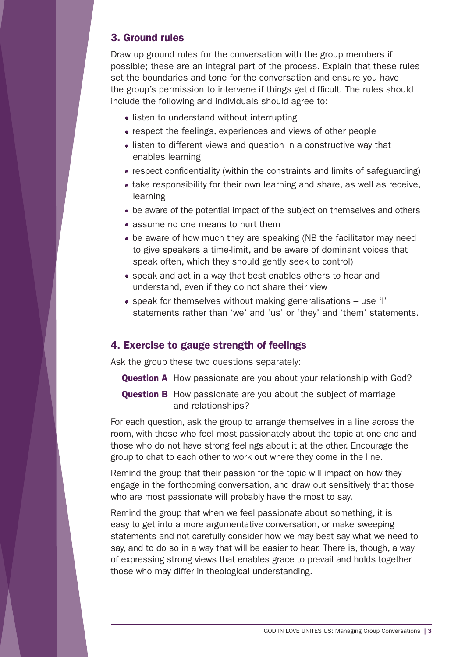#### 3. Ground rules

Draw up ground rules for the conversation with the group members if possible; these are an integral part of the process. Explain that these rules set the boundaries and tone for the conversation and ensure you have the group's permission to intervene if things get difficult. The rules should include the following and individuals should agree to:

- listen to understand without interrupting
- respect the feelings, experiences and views of other people
- listen to different views and question in a constructive way that enables learning
- respect confidentiality (within the constraints and limits of safeguarding)
- take responsibility for their own learning and share, as well as receive, learning
- be aware of the potential impact of the subject on themselves and others
- assume no one means to hurt them
- be aware of how much they are speaking (NB the facilitator may need to give speakers a time-limit, and be aware of dominant voices that speak often, which they should gently seek to control)
- speak and act in a way that best enables others to hear and understand, even if they do not share their view
- speak for themselves without making generalisations use 'I' statements rather than 'we' and 'us' or 'they' and 'them' statements.

### 4. Exercise to gauge strength of feelings

Ask the group these two questions separately:

- **Question A** How passionate are you about your relationship with God?
- **Question B** How passionate are you about the subject of marriage and relationships?

For each question, ask the group to arrange themselves in a line across the room, with those who feel most passionately about the topic at one end and those who do not have strong feelings about it at the other. Encourage the group to chat to each other to work out where they come in the line.

Remind the group that their passion for the topic will impact on how they engage in the forthcoming conversation, and draw out sensitively that those who are most passionate will probably have the most to say.

Remind the group that when we feel passionate about something, it is easy to get into a more argumentative conversation, or make sweeping statements and not carefully consider how we may best say what we need to say, and to do so in a way that will be easier to hear. There is, though, a way of expressing strong views that enables grace to prevail and holds together those who may differ in theological understanding.